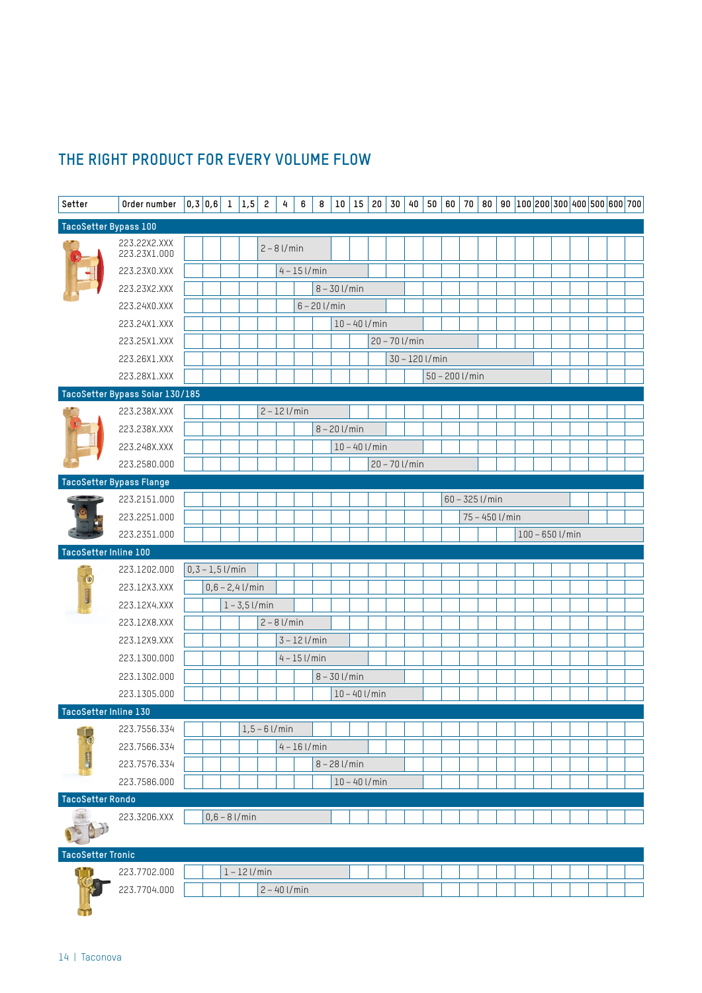# **THE RIGHT PRODUCT FOR EVERY VOLUME FLOW**

| Setter                   | Order number                    | $ 0,3 0,6 $ 1 $ 1,5 $ 2 |                   | 4                | 6              | 8              | 10             | 15              | $20\,$ | 30              | 40 | 50             | 60               | $70$ 80          |  | 90 $ 100 200 300 400 500 600 700$ |  |  |  |
|--------------------------|---------------------------------|-------------------------|-------------------|------------------|----------------|----------------|----------------|-----------------|--------|-----------------|----|----------------|------------------|------------------|--|-----------------------------------|--|--|--|
| TacoSetter Bypass 100    |                                 |                         |                   |                  |                |                |                |                 |        |                 |    |                |                  |                  |  |                                   |  |  |  |
|                          | 223.22X2.XXX<br>223.23X1.000    |                         |                   | $2 - 8$ l/min    |                |                |                |                 |        |                 |    |                |                  |                  |  |                                   |  |  |  |
|                          | 223.23X0.XXX                    |                         |                   |                  | $4 - 15$ l/min |                |                |                 |        |                 |    |                |                  |                  |  |                                   |  |  |  |
|                          | 223.23X2.XXX                    |                         |                   |                  |                |                | $8 - 30$ l/min |                 |        |                 |    |                |                  |                  |  |                                   |  |  |  |
|                          | 223.24X0.XXX                    |                         |                   |                  |                | $6 - 20$ l/min |                |                 |        |                 |    |                |                  |                  |  |                                   |  |  |  |
|                          | 223.24X1.XXX                    |                         |                   |                  |                |                |                | $10 - 40$ l/min |        |                 |    |                |                  |                  |  |                                   |  |  |  |
|                          | 223.25X1.XXX                    |                         |                   |                  |                |                |                |                 |        | $20 - 70$ l/min |    |                |                  |                  |  |                                   |  |  |  |
|                          | 223.26X1.XXX                    |                         |                   |                  |                |                |                |                 |        |                 |    | 30 - 120 l/min |                  |                  |  |                                   |  |  |  |
|                          | 223.28X1.XXX                    |                         |                   |                  |                |                |                |                 |        |                 |    |                | $50 - 200$ l/min |                  |  |                                   |  |  |  |
|                          | TacoSetter Bypass Solar 130/185 |                         |                   |                  |                |                |                |                 |        |                 |    |                |                  |                  |  |                                   |  |  |  |
|                          | 223.238X.XXX                    |                         |                   | $2 - 12$ l/min   |                |                |                |                 |        |                 |    |                |                  |                  |  |                                   |  |  |  |
|                          | 223.238X.XXX                    |                         |                   |                  |                |                | $8 - 20$ l/min |                 |        |                 |    |                |                  |                  |  |                                   |  |  |  |
|                          | 223.248X.XXX                    |                         |                   |                  |                |                |                | $10 - 40$ l/min |        |                 |    |                |                  |                  |  |                                   |  |  |  |
|                          | 223.2580.000                    |                         |                   |                  |                |                |                |                 |        | $20 - 70$ l/min |    |                |                  |                  |  |                                   |  |  |  |
|                          | TacoSetter Bypass Flange        |                         |                   |                  |                |                |                |                 |        |                 |    |                |                  |                  |  |                                   |  |  |  |
|                          | 223.2151.000                    |                         |                   |                  |                |                |                |                 |        |                 |    |                |                  | $60 - 325$ l/min |  |                                   |  |  |  |
|                          | 223.2251.000                    |                         |                   |                  |                |                |                |                 |        |                 |    |                |                  | 75 - 450 l/min   |  |                                   |  |  |  |
|                          | 223.2351.000                    |                         |                   |                  |                |                |                |                 |        |                 |    |                |                  |                  |  | $100 - 650$ l/min                 |  |  |  |
| TacoSetter Inline 100    |                                 |                         |                   |                  |                |                |                |                 |        |                 |    |                |                  |                  |  |                                   |  |  |  |
|                          | 223.1202.000                    | $0, 3 - 1, 5$ l/min     |                   |                  |                |                |                |                 |        |                 |    |                |                  |                  |  |                                   |  |  |  |
|                          | 223.12X3.XXX                    |                         | $0,6 - 2,4$ l/min |                  |                |                |                |                 |        |                 |    |                |                  |                  |  |                                   |  |  |  |
|                          | 223.12X4.XXX                    |                         | $1 - 3,5$ l/min   |                  |                |                |                |                 |        |                 |    |                |                  |                  |  |                                   |  |  |  |
|                          | 223.12X8.XXX                    |                         |                   | $2 - 8$ l/min    |                |                |                |                 |        |                 |    |                |                  |                  |  |                                   |  |  |  |
|                          | 223.12X9.XXX                    |                         |                   |                  | $3 - 12$ l/min |                |                |                 |        |                 |    |                |                  |                  |  |                                   |  |  |  |
|                          | 223.1300.000                    |                         |                   |                  | $4 - 15$ l/min |                |                |                 |        |                 |    |                |                  |                  |  |                                   |  |  |  |
|                          | 223.1302.000                    |                         |                   |                  |                |                | $8 - 30$ l/min |                 |        |                 |    |                |                  |                  |  |                                   |  |  |  |
|                          | 223.1305.000                    |                         |                   |                  |                |                |                | $10 - 40$ l/min |        |                 |    |                |                  |                  |  |                                   |  |  |  |
| TacoSetter Inline 130    |                                 |                         |                   |                  |                |                |                |                 |        |                 |    |                |                  |                  |  |                                   |  |  |  |
|                          |                                 |                         |                   | $1, 5 - 6$ l/min |                |                |                |                 |        |                 |    |                |                  |                  |  |                                   |  |  |  |
|                          | 223.7556.334                    |                         |                   |                  |                |                |                |                 |        |                 |    |                |                  |                  |  |                                   |  |  |  |
|                          | 223.7566.334                    |                         |                   |                  | $4 - 16$ l/min |                |                |                 |        |                 |    |                |                  |                  |  |                                   |  |  |  |
|                          | 223.7576.334                    |                         |                   |                  |                |                | $8 - 28$ l/min |                 |        |                 |    |                |                  |                  |  |                                   |  |  |  |
|                          | 223.7586.000                    |                         |                   |                  |                |                |                | $10 - 40$ l/min |        |                 |    |                |                  |                  |  |                                   |  |  |  |
| <b>TacoSetter Rondo</b>  |                                 |                         |                   |                  |                |                |                |                 |        |                 |    |                |                  |                  |  |                                   |  |  |  |
|                          | 223.3206.XXX                    |                         | $0,6 - 8$ l/min   |                  |                |                |                |                 |        |                 |    |                |                  |                  |  |                                   |  |  |  |
|                          |                                 |                         |                   |                  |                |                |                |                 |        |                 |    |                |                  |                  |  |                                   |  |  |  |
| <b>TacoSetter Tronic</b> |                                 |                         |                   |                  |                |                |                |                 |        |                 |    |                |                  |                  |  |                                   |  |  |  |
|                          | 223.7702.000<br>223.7704.000    |                         | $1 - 12$ l/min    | $2 - 40$ l/min   |                |                |                |                 |        |                 |    |                |                  |                  |  |                                   |  |  |  |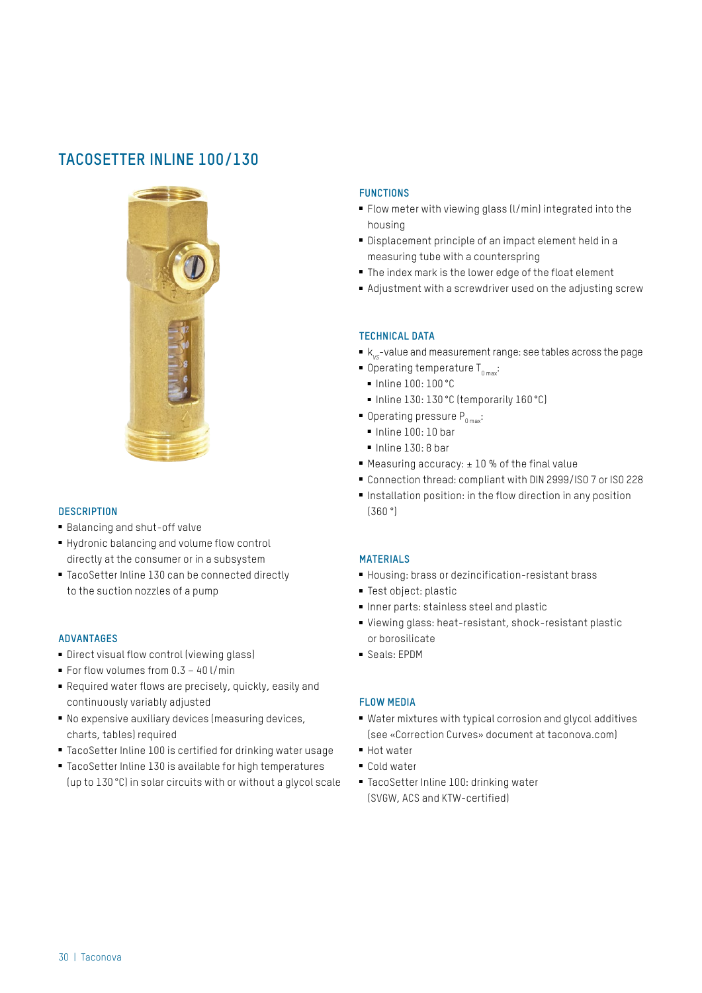# **TACOSETTER INLINE 100/130**



### **DESCRIPTION**

- Balancing and shut-off valve
- Hydronic balancing and volume flow control directly at the consumer or in a subsystem
- TacoSetter Inline 130 can be connected directly to the suction nozzles of a pump

#### **ADVANTAGES**

- Direct visual flow control (viewing glass)
- For flow volumes from 0.3 40 l/min
- Required water flows are precisely, quickly, easily and continuously variably adjusted
- No expensive auxiliary devices (measuring devices, charts, tables) required
- TacoSetter Inline 100 is certified for drinking water usage
- TacoSetter Inline 130 is available for high temperatures (up to 130 °C) in solar circuits with or without a glycol scale

### **FUNCTIONS**

- Flow meter with viewing glass (l/min) integrated into the housing
- Displacement principle of an impact element held in a measuring tube with a counterspring
- The index mark is the lower edge of the float element
- Adjustment with a screwdriver used on the adjusting screw

### **TECHNICAL DATA**

- k<sub>vs</sub>-value and measurement range: see tables across the page
- $\blacksquare$  Operating temperature T<sub>omax</sub>:
- Inline 100: 100 °C
- Inline 130: 130 °C (temporarily 160 °C)
- $\blacksquare$  Operating pressure  $P_{\text{max}}$ :
	- Inline 100: 10 bar
	- Inline 130: 8 bar
- Measuring accuracy: ±10 % of the final value
- Connection thread: compliant with DIN 2999/ISO 7 or ISO 228
- Installation position: in the flow direction in any position (360 °)

#### **MATERIALS**

- Housing: brass or dezincification-resistant brass
- Test object: plastic
- Inner parts: stainless steel and plastic
- Viewing glass: heat-resistant, shock-resistant plastic or borosilicate
- Seals: **FPDM**

# **FLOW MEDIA**

- Water mixtures with typical corrosion and glycol additives (see «Correction Curves» document at taconova.com)
- Hot water
- Cold water
- TacoSetter Inline 100: drinking water (SVGW, ACS and KTW-certified)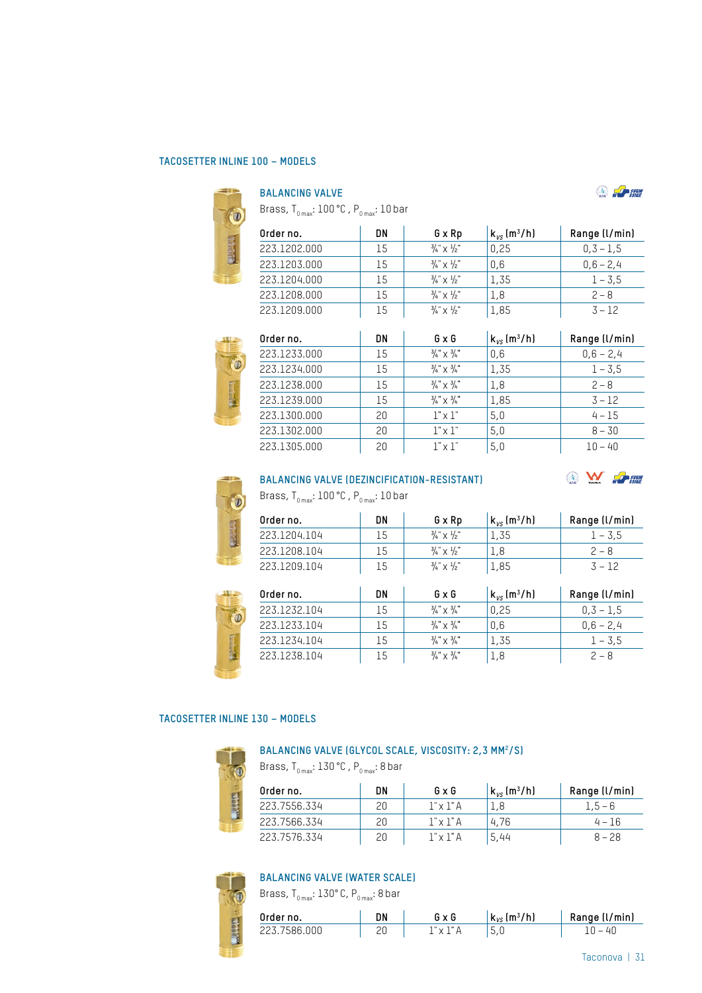### **TACOSETTER INLINE 100 – MODELS**

 $\begin{array}{c} \bullet \\ \bullet \\ \bullet \end{array}$ 

## **BALANCING VALVE**

Brass,  $T_{0 \text{ max}}$ : 100 °C,  $P_{0 \text{ max}}$ : 10 bar

| Order no.    | DN | G x Rp                               | $k_{\nu s}$ (m <sup>3</sup> /h) | Range (l/min) |
|--------------|----|--------------------------------------|---------------------------------|---------------|
| 223.1202.000 | 15 | $\frac{3}{4}$ $\times$ $\frac{1}{2}$ | 0,25                            | $0,3 - 1,5$   |
| 223.1203.000 | 15 | $\frac{3}{4}$ $\times$ $\frac{1}{2}$ | 0.6                             | $0,6 - 2,4$   |
| 223.1204.000 | 15 | $\frac{3}{4}$ $\times$ $\frac{1}{2}$ | 1.35                            | $1 - 3.5$     |
| 223.1208.000 | 15 | $\frac{3}{4}$ $\times$ $\frac{1}{2}$ | 1.8                             | $2 - 8$       |
| 223.1209.000 | 15 | $\frac{3}{4}$ $\times$ $\frac{1}{2}$ | 1,85                            | $3 - 12$      |



| Order no.    | DN | $G \times G$                     | $k_{vs}$ (m <sup>3</sup> /h) | Range (l/min) |
|--------------|----|----------------------------------|------------------------------|---------------|
| 223.1233.000 | 15 | $\frac{3}{4} \times \frac{3}{4}$ | 0,6                          | $0,6 - 2,4$   |
| 223.1234.000 | 15 | $\frac{3}{4} \times \frac{3}{4}$ | 1,35                         | $1 - 3.5$     |
| 223.1238.000 | 15 | $\frac{3}{4} \times \frac{3}{4}$ | 1,8                          | $2 - 8$       |
| 223.1239.000 | 15 | $\frac{3}{4} \times \frac{3}{4}$ | 1,85                         | $3 - 12$      |
| 223.1300.000 | 20 | $1" \times 1"$                   | 5,0                          | $4 - 15$      |
| 223.1302.000 | 20 | $1" \times 1"$                   | 5,0                          | $8 - 30$      |
| 223.1305.000 | 20 | $1" \times 1"$                   | 5,0                          | $10 - 40$     |



# **BALANCING VALVE (DEZINCIFICATION-RESISTANT)**

Brass,  $T_{_{0\, \text{max}}}: 100\, \text{°C}$  ,  $P_{_{0\, \text{max}}}: 10\, \text{bar}$ 

| Order no.    | DN | G x Rp                               | $k_{\nu s}$ (m <sup>3</sup> /h) | Range (l/min) |
|--------------|----|--------------------------------------|---------------------------------|---------------|
| 223.1204.104 | 15 | $\frac{3}{4}$ $\times$ $\frac{1}{2}$ | 1.35                            | $1 - 3.5$     |
| 223.1208.104 | 15 | $\frac{3}{4}$ $\times$ $\frac{1}{2}$ | 1.8                             | $2 - 8$       |
| 223.1209.104 | 15 | $\frac{3}{4}$ $\times$ $\frac{1}{2}$ | 1,85                            | $3 - 12$      |



|    | $\sim$ $\sim$ $\sim$             | -⊥, ∪ ∪                         |               |
|----|----------------------------------|---------------------------------|---------------|
| DN | GxG                              | $k_{\nu s}$ (m <sup>3</sup> /h) | Range (l/min) |
| 15 | $\frac{3}{4} \times \frac{3}{4}$ | 0,25                            | $0,3 - 1,5$   |
| 15 | $\frac{3}{4} \times \frac{3}{4}$ | 0,6                             | $0,6 - 2,4$   |
| 15 | $\frac{3}{4} \times \frac{3}{4}$ | 1,35                            | $1 - 3.5$     |
| 15 | $\frac{3}{4} \times \frac{3}{4}$ | 1,8                             | $2 - 8$       |
|    |                                  |                                 |               |

### **TACOSETTER INLINE 130 – MODELS**



#### BALANCING VALVE (GLYCOL SCALE, VISCOSITY: 2,3 MM<sup>2</sup>/S)

Brass,  $T_{_{0\,max}}$ : 130 °C,  $P_{_{0\,max}}$ : 8 bar

| Order no.    | DN | GxG              | $k_{\nu s}$ (m <sup>3</sup> /h) | Range (l/min) |
|--------------|----|------------------|---------------------------------|---------------|
| 223.7556.334 | 20 | $1" \times 1"$ A | 1.8                             | $1.5 - 6$     |
| 223.7566.334 | 20 | $1" \times 1"$ A | 4.76                            | $4 - 16$      |
| 223.7576.334 | 20 | 1" x 1" A        | 5,44                            | $8 - 28$      |



# **BALANCING VALVE (WATER SCALE)**

Brass, T $_{_{0\, \rm max}}$ : 130° C, P $_{_{0\, \rm max}}$ : 8 bar

| Order no.    | DN | GxG       | $k_{vs}$ (m <sup>3</sup> /h) | Range (l/min) |
|--------------|----|-----------|------------------------------|---------------|
| 223.7586.000 |    | 1" x 1" A | 5.U                          | 10 – 40       |

 $\bigcirc$   $\bigcirc$  sygw

**NEW SSIGHT**